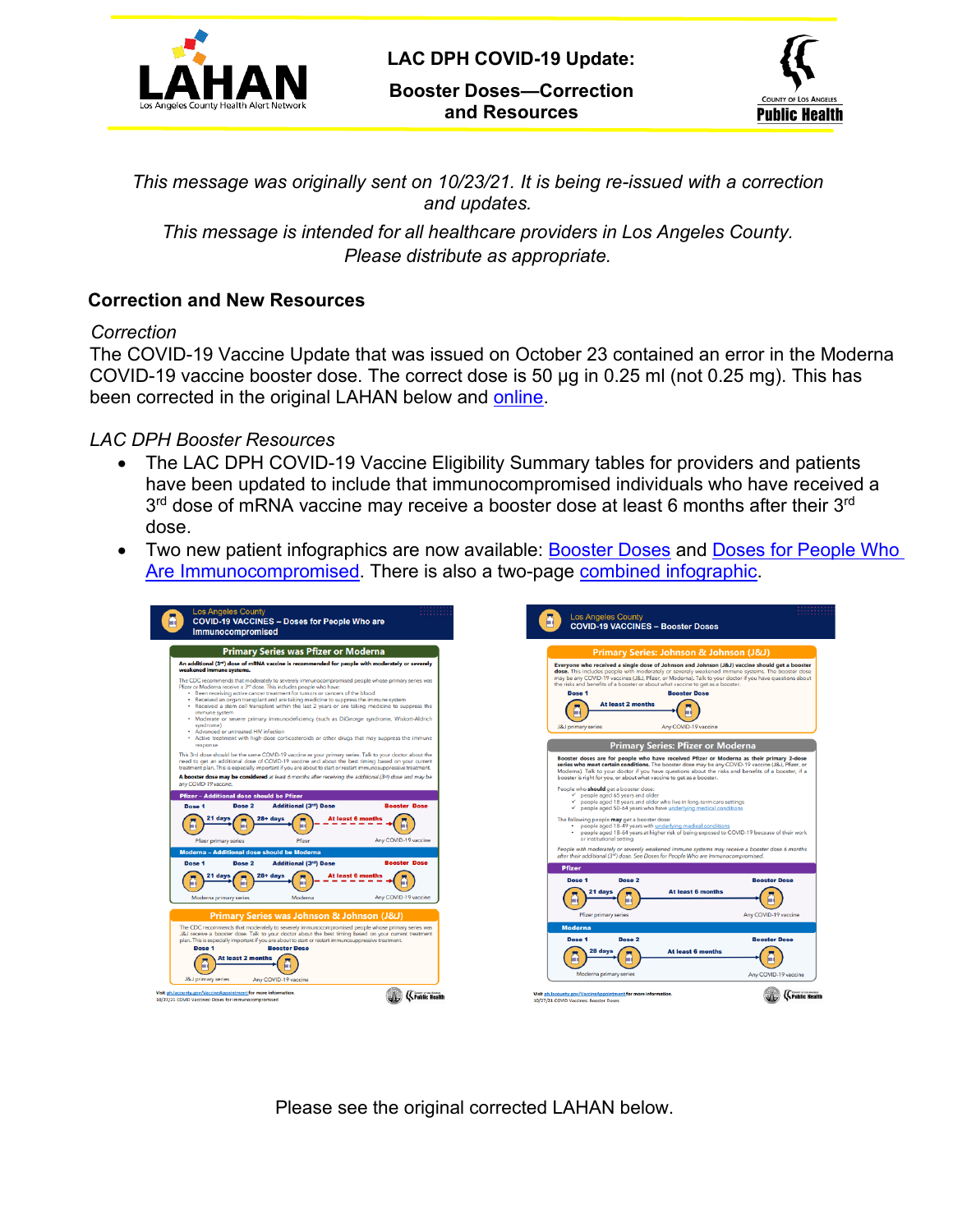

**LAC DPH COVID-19 Update:**

**Booster Doses—Correction and Resources**



*This message was originally sent on 10/23/21. It is being re-issued with a correction and updates.*

*This message is intended for all healthcare providers in Los Angeles County. Please distribute as appropriate.*

### **Correction and New Resources**

#### *Correction*

The COVID-19 Vaccine Update that was issued on October 23 contained an error in the Moderna COVID-19 vaccine booster dose. The correct dose is 50 μg in 0.25 ml (not 0.25 mg). This has been corrected in the original LAHAN below and [online](http://publichealth.lacounty.gov/eprp/lahan/alerts/LAHANCOVIDboosterwithchart102221.pdf).

#### *LAC DPH Booster Resources*

- The LAC DPH COVID-19 Vaccine Eligibility Summary tables for providers and patients have been updated to include that immunocompromised individuals who have received a 3<sup>rd</sup> dose of mRNA vaccine may receive a booster dose at least 6 months after their 3<sup>rd</sup> dose.
- Two new patient infographics are now available: [Booster Doses](http://publichealth.lacounty.gov/acd/ncorona2019/docs/vaccine/VaccineBoosterDoses.pdf) and Doses for People Who [Are Immunocompromised.](http://publichealth.lacounty.gov/acd/ncorona2019/docs/vaccine/VaccineImmunocompromisedDoses.pdf) There is also a two-page [combined infographic](http://publichealth.lacounty.gov/acd/ncorona2019/docs/vaccine/VaccineBoosterAndImmunocompromised.pdf).

| <b>Los Angeles County</b><br>::::::::<br><b>COVID-19 VACCINES - Doses for People Who are</b><br>m<br><b>Immunocompromised</b>                                                                                                                                                                                                                                                                                                                                                                                                                                                                                                                                                                                                                                                                                                                                                                                                                      | <b>Los Angeles County</b><br><b>COVID-19 VACCINES - Booster Doses</b>                                                                                                                                                                                                                                                                                                                                                                                                                                                                                                                                                                                                                                                                                                                                                                                                                                                                                                                                                                                                                                                                                              |
|----------------------------------------------------------------------------------------------------------------------------------------------------------------------------------------------------------------------------------------------------------------------------------------------------------------------------------------------------------------------------------------------------------------------------------------------------------------------------------------------------------------------------------------------------------------------------------------------------------------------------------------------------------------------------------------------------------------------------------------------------------------------------------------------------------------------------------------------------------------------------------------------------------------------------------------------------|--------------------------------------------------------------------------------------------------------------------------------------------------------------------------------------------------------------------------------------------------------------------------------------------------------------------------------------------------------------------------------------------------------------------------------------------------------------------------------------------------------------------------------------------------------------------------------------------------------------------------------------------------------------------------------------------------------------------------------------------------------------------------------------------------------------------------------------------------------------------------------------------------------------------------------------------------------------------------------------------------------------------------------------------------------------------------------------------------------------------------------------------------------------------|
| <b>Primary Series was Pfizer or Moderna</b>                                                                                                                                                                                                                                                                                                                                                                                                                                                                                                                                                                                                                                                                                                                                                                                                                                                                                                        | Primary Series: Johnson & Johnson (J&J)                                                                                                                                                                                                                                                                                                                                                                                                                                                                                                                                                                                                                                                                                                                                                                                                                                                                                                                                                                                                                                                                                                                            |
| An additional (3rd) dose of mRNA vaccine is recommended for people with moderately or severely<br>weakened immune systems.<br>The CDC recommends that moderately to severely immunocompromised people whose primary series was<br>Pfizer or Moderna receive a 3rd dose. This includes people who have:<br>. Been receiving active cancer treatment for tumors or cancers of the blood<br>. Received an organ transplant and are taking medicine to suppress the immune system<br>. Received a stem cell transplant within the last 2 years or are taking medicine to suppress the<br>immune system<br>. Moderate or severe primary immunodeficiency (such as DiGeorge syndrome, Wiskott-Aldrich<br>syndrome)<br>• Advanced or untreated HIV infection                                                                                                                                                                                              | Everyone who received a single dose of Johnson and Johnson (J&J) vaccine should get a boos<br>dose. This includes people with moderately or severely weakened immune systems. The booster do<br>may be any COVID-19 vaccines (J&J, Pfizer, or Moderna). Talk to your doctor if you have questions abo<br>the risks and benefits of a booster or about what vaccine to get as a booster.<br><b>Booster Dose</b><br>Dose <sub>1</sub><br>At least 2 months<br>Any COVID-19 vaccine<br><b>J&amp;J</b> primary series                                                                                                                                                                                                                                                                                                                                                                                                                                                                                                                                                                                                                                                  |
| . Active treatment with high-dose corticosteroids or other drugs that may suppress the immune<br>response                                                                                                                                                                                                                                                                                                                                                                                                                                                                                                                                                                                                                                                                                                                                                                                                                                          | <b>Primary Series: Pfizer or Moderna</b>                                                                                                                                                                                                                                                                                                                                                                                                                                                                                                                                                                                                                                                                                                                                                                                                                                                                                                                                                                                                                                                                                                                           |
| This 3rd dose should be the same COVID-19 vaccine as your primary series. Talk to your doctor about the<br>need to get an additional dose of COVID-19 vaccine and about the best timing based on your current<br>treatment plan. This is especially important if you are about to start or restart immunosuppressive treatment.<br>A booster dose may be considered at least 6 months after receiving the additional (3rd) dose and may be<br>any COVID-19 vaccine.<br><b>Pfizer - Additional dose should be Pfizer</b><br><b>Additional (3rd) Dose</b><br>Dose <sub>2</sub><br><b>Booster Dose</b><br>Dose 1<br>21 days<br><b>At least 6 months</b><br>$28 + days$<br>A<br>Any COVID-19 vaccine<br>Pfizer<br>Pfizer primary series<br><b>Moderna - Additional dose should be Moderna</b><br><b>Booster Dose</b><br><b>Additional (3rd) Dose</b><br>Dose <sub>1</sub><br>Dose <sub>2</sub><br><b>At least 6 months</b><br>28+ davs<br>21 days<br>ē | Booster doses are for people who have received Pfizer or Moderna as their primary 2-dos<br>series who meet certain conditions. The booster dose may be any COVID-19 vaccine (J&J, Pfizer, o<br>Moderna). Talk to your doctor if you have questions about the risks and benefits of a booster, if<br>booster is right for you, or about what vaccine to get as a booster.<br>People who should get a booster dose:<br>$\checkmark$ people aged 65 years and older<br>people aged 18 years and older who live in long-term care settings<br>people aged 50-64 years who have underlying medical conditions<br>The following people may get a booster dose:<br>• people aged 18-49 years with underlying medical conditions<br>* people aged 18-64 years at higher risk of being exposed to COVID-19 because of their wor<br>or institutional setting<br>People with moderately or severely weakened immune systems may receive a booster dose 6 month<br>after their additional (3rd) dose. See Doses for People Who are Immunocompromised.<br><b>Pfizer</b><br>Dose <sub>2</sub><br><b>Booster Dose</b><br>Dose <sub>1</sub><br><b>At least 6 months</b><br>21 days |
| Any COVID-19 vaccine<br>Moderna<br>Moderna primary series                                                                                                                                                                                                                                                                                                                                                                                                                                                                                                                                                                                                                                                                                                                                                                                                                                                                                          |                                                                                                                                                                                                                                                                                                                                                                                                                                                                                                                                                                                                                                                                                                                                                                                                                                                                                                                                                                                                                                                                                                                                                                    |
| Primary Series was Johnson & Johnson (J&J)<br>The CDC recommends that moderately to severely immunocompromised people whose primary series was<br>J&J receive a booster dose. Talk to your doctor about the best timing based on your current treatment<br>plan. This is especially important if you are about to start or restart immunosuppressive treatment.<br><b>Booster Dose</b><br>Dose 1<br><b>At least 2 months</b><br>ш<br><b>J&amp;J</b> primary series<br>Any COVID-19 vaccine                                                                                                                                                                                                                                                                                                                                                                                                                                                         | Any COVID-19 vaccine<br>Pfizer primary series<br><b>Moderna</b><br>Dose <sub>2</sub><br><b>Booster Dose</b><br>Dose <sub>1</sub><br><b>At least 6 months</b><br>mв<br>Moderna primary series<br>Any COVID-19 vaccine                                                                                                                                                                                                                                                                                                                                                                                                                                                                                                                                                                                                                                                                                                                                                                                                                                                                                                                                               |
| Visit ph.lacounty.gov/VaccineAppointment for more information.<br><b>KFublic Health</b><br>10/27/21 COVID Vaccines: Doses for Immunocompromised                                                                                                                                                                                                                                                                                                                                                                                                                                                                                                                                                                                                                                                                                                                                                                                                    | {<br>C Public<br>Visit ph.lacounty.gov/VaccineAppointment for more information.<br>10/27/21 COVID Vaccines: Booster Doses                                                                                                                                                                                                                                                                                                                                                                                                                                                                                                                                                                                                                                                                                                                                                                                                                                                                                                                                                                                                                                          |

Please see the original corrected LAHAN below.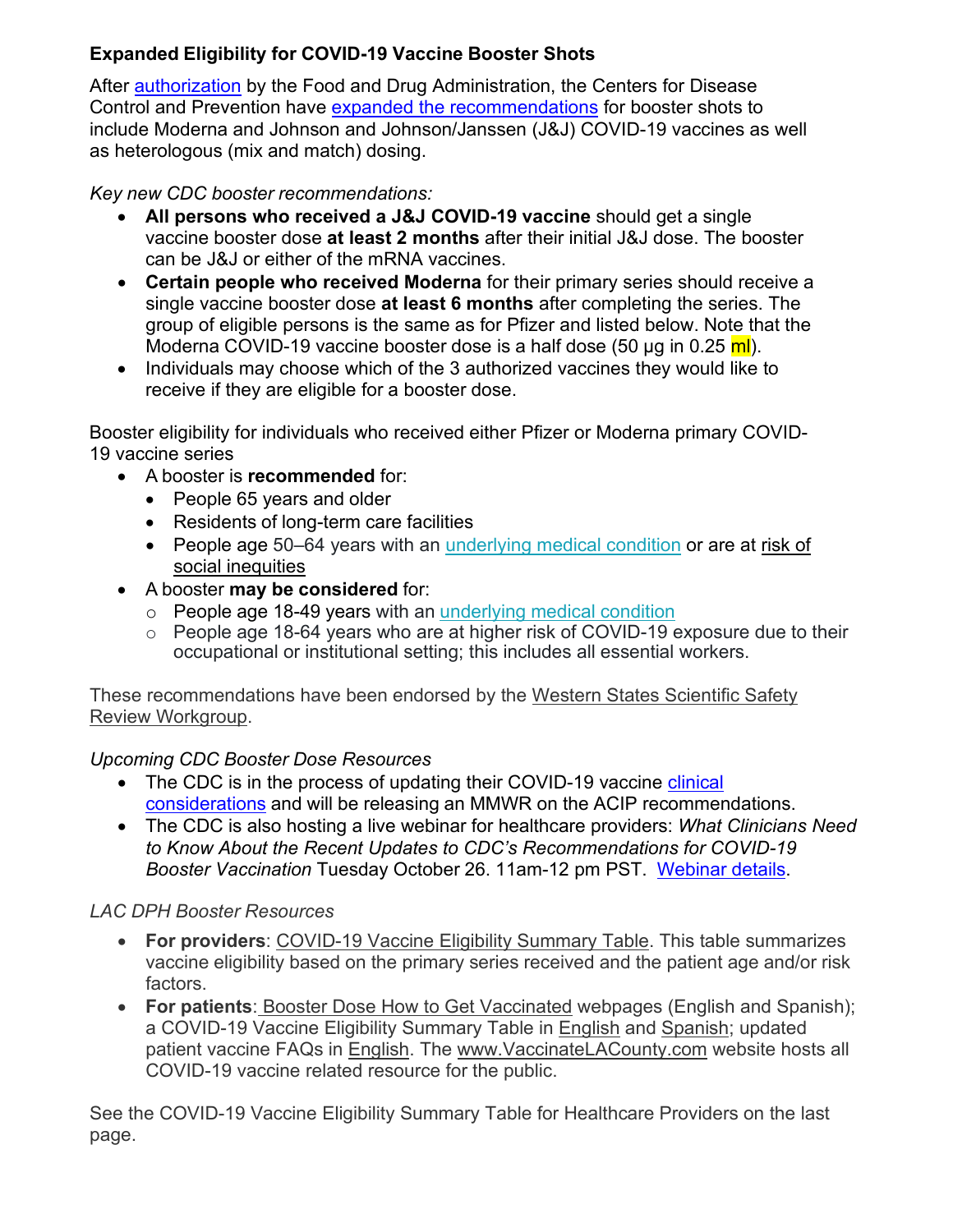# **Expanded Eligibility for COVID-19 Vaccine Booster Shots**

After [authorization](https://www.fda.gov/news-events/press-announcements/coronavirus-covid-19-update-fda-takes-additional-actions-use-booster-dose-covid-19-vaccines) by the Food and Drug Administration, the Centers for Disease Control and Prevention have [expanded the recommendations](https://www.cdc.gov/media/releases/2021/p1021-covid-booster.html) for booster shots to include Moderna and Johnson and Johnson/Janssen (J&J) COVID-19 vaccines as well as heterologous (mix and match) dosing.

*Key new CDC booster recommendations:*

- **All persons who received a J&J COVID-19 vaccine** should get a single vaccine booster dose **at least 2 months** after their initial J&J dose. The booster can be J&J or either of the mRNA vaccines.
- **Certain people who received Moderna** for their primary series should receive a single vaccine booster dose **at least 6 months** after completing the series. The group of eligible persons is the same as for Pfizer and listed below. Note that the Moderna COVID-19 vaccine booster dose is a half dose (50 μg in 0.25 ml).
- Individuals may choose which of the 3 authorized vaccines they would like to receive if they are eligible for a booster dose.

Booster eligibility for individuals who received either Pfizer or Moderna primary COVID-19 vaccine series

- A booster is **recommended** for:
	- People 65 years and older
	- Residents of long-term care facilities
	- People age 50–64 years with an [underlying medical condition](https://www.cdc.gov/coronavirus/2019-ncov/need-extra-precautions/people-with-medical-conditions.html) or are at [risk of](https://www.cdc.gov/coronavirus/2019-ncov/community/health-equity/race-ethnicity.html) social [inequities](https://www.cdc.gov/coronavirus/2019-ncov/community/health-equity/race-ethnicity.html)
- A booster **may be considered** for:
	- o People age 18-49 years with an [underlying](https://www.cdc.gov/coronavirus/2019-ncov/need-extra-precautions/people-with-medical-conditions.html) medical condition
	- o People age 18-64 years who are at higher risk of COVID-19 exposure due to their occupational or institutional setting; this includes all essential workers.

These recommendations have been endorsed by the [Western States Scientific Safety](https://www.cdph.ca.gov/Programs/CID/DCDC/Pages/COVID-19/Statement-on-Moderna-JohnsonandJohnson-Booster.aspx) Review [Workgroup](https://www.cdph.ca.gov/Programs/CID/DCDC/Pages/COVID-19/Statement-on-Moderna-JohnsonandJohnson-Booster.aspx).

## *Upcoming CDC Booster Dose Resources*

- The CDC is in the process of updating their COVID-19 vaccine [clinical](https://www.cdc.gov/vaccines/covid-19/clinical-considerations/covid-19-vaccines-us.html?CDC_AA_refVal=https%3A%2F%2Fwww.cdc.gov%2Fvaccines%2Fcovid-19%2Finfo-by-product%2Fclinical-considerations.html) [considerations](https://www.cdc.gov/vaccines/covid-19/clinical-considerations/covid-19-vaccines-us.html?CDC_AA_refVal=https%3A%2F%2Fwww.cdc.gov%2Fvaccines%2Fcovid-19%2Finfo-by-product%2Fclinical-considerations.html) and will be releasing an MMWR on the ACIP recommendations.
- The CDC is also hosting a live webinar for healthcare providers: *What Clinicians Need to Know About the Recent Updates to CDC's Recommendations for COVID-19 Booster Vaccination* Tuesday October 26. 11am-12 pm PST. [Webinar](https://emergency.cdc.gov/coca/calls/2021/callinfo_102621.asp?ACSTrackingID=USCDC_1052-DM68260&ACSTrackingLabel=Reminder%3A%20CDC%20COCA%20Call%3A%20What%20Clinicians%20Need%20to%20Know%20about%20the%20Recent%20Updates%20to%20CDC%E2%80%99s%20Recommendations%20for%20COVID-19%20Boosters%20%20&deliveryName=USCDC_1052-DM68260) details.

## *LAC DPH Booster Resources*

- **For providers**: COVID-[19 Vaccine Eligibility Summary Table.](http://ph.lacounty.gov/acd/ncorona2019/docs/VaccineScheduleProviders102221.pdf) This table summarizes vaccine eligibility based on the primary series received and the patient age and/or risk factors.
- **For patients**: [Booster Dose How to Get Vaccinated](http://publichealth.lacounty.gov/acd/ncorona2019/vaccine/hcwsignup/?level_1=booster) webpages (English and Spanish); a COVID-19 Vaccine Eligibility Summary Table in [English](http://publichealth.lacounty.gov/media/Coronavirus/docs/vaccine/VaccineEligibilitySummaryTable.pdf) and [Spanish;](https://t.e2ma.net/click/3m6a9s/fcmhgg/voizu9e) updated patient vaccine FAQs in [English](http://publichealth.lacounty.gov/media/Coronavirus/docs/about/FAQ-Vaccine.pdf). The [www.VaccinateLACounty.com](http://publichealth.lacounty.gov/media/Coronavirus/vaccine/) website hosts all COVID-19 vaccine related resource for the public.

See the COVID-19 Vaccine Eligibility Summary Table for Healthcare Providers on the last page.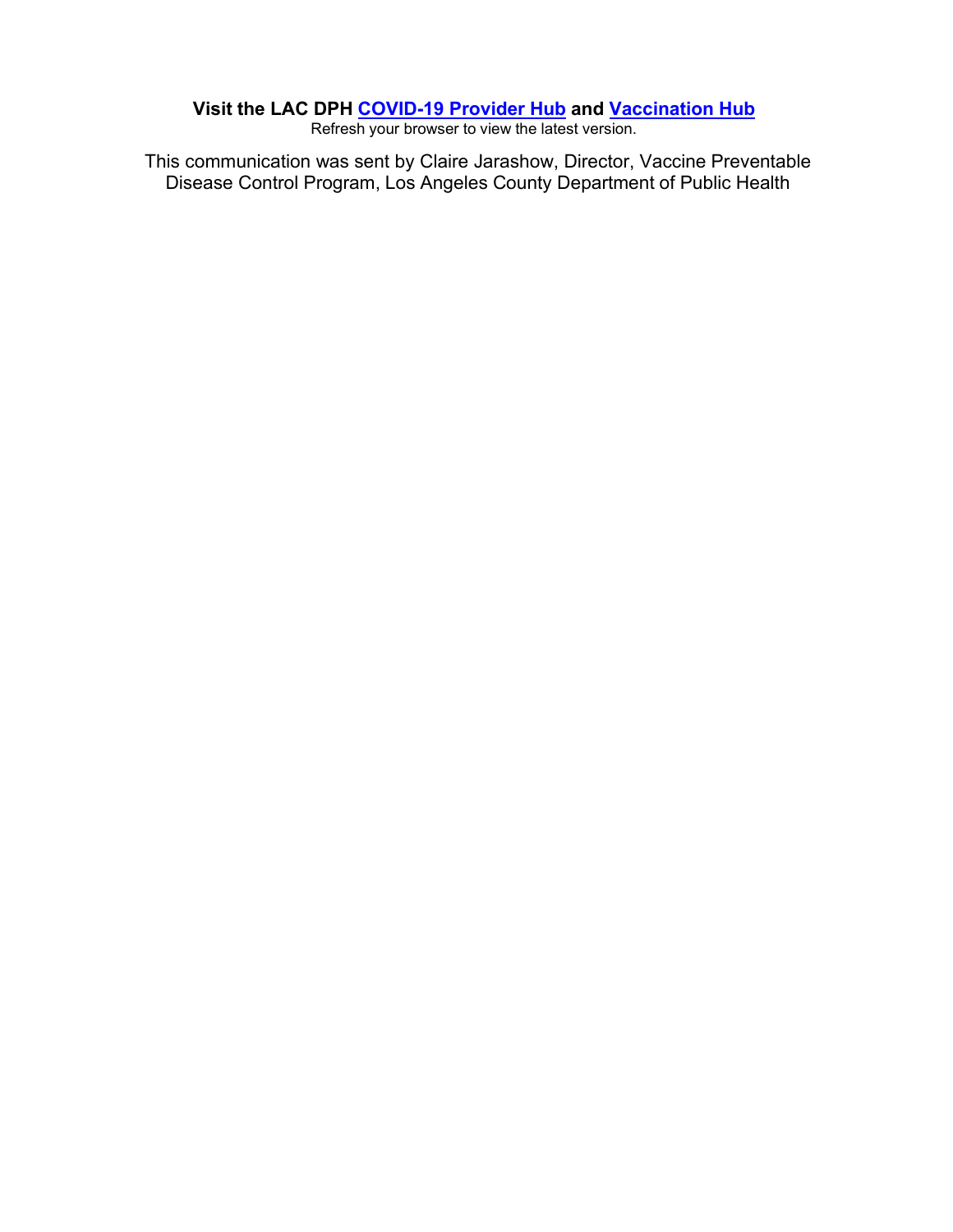#### **Visit the LAC DPH [COVID-19](http://publichealth.lacounty.gov/acd/ncorona2019/vaccine/) Provider Hub and [Vaccination](http://publichealth.lacounty.gov/acd/ncorona2019/vaccine) Hub**

Refresh your browser to view the latest version.

This communication was sent by Claire Jarashow, Director, Vaccine Preventable Disease Control Program, Los Angeles County Department of Public Health